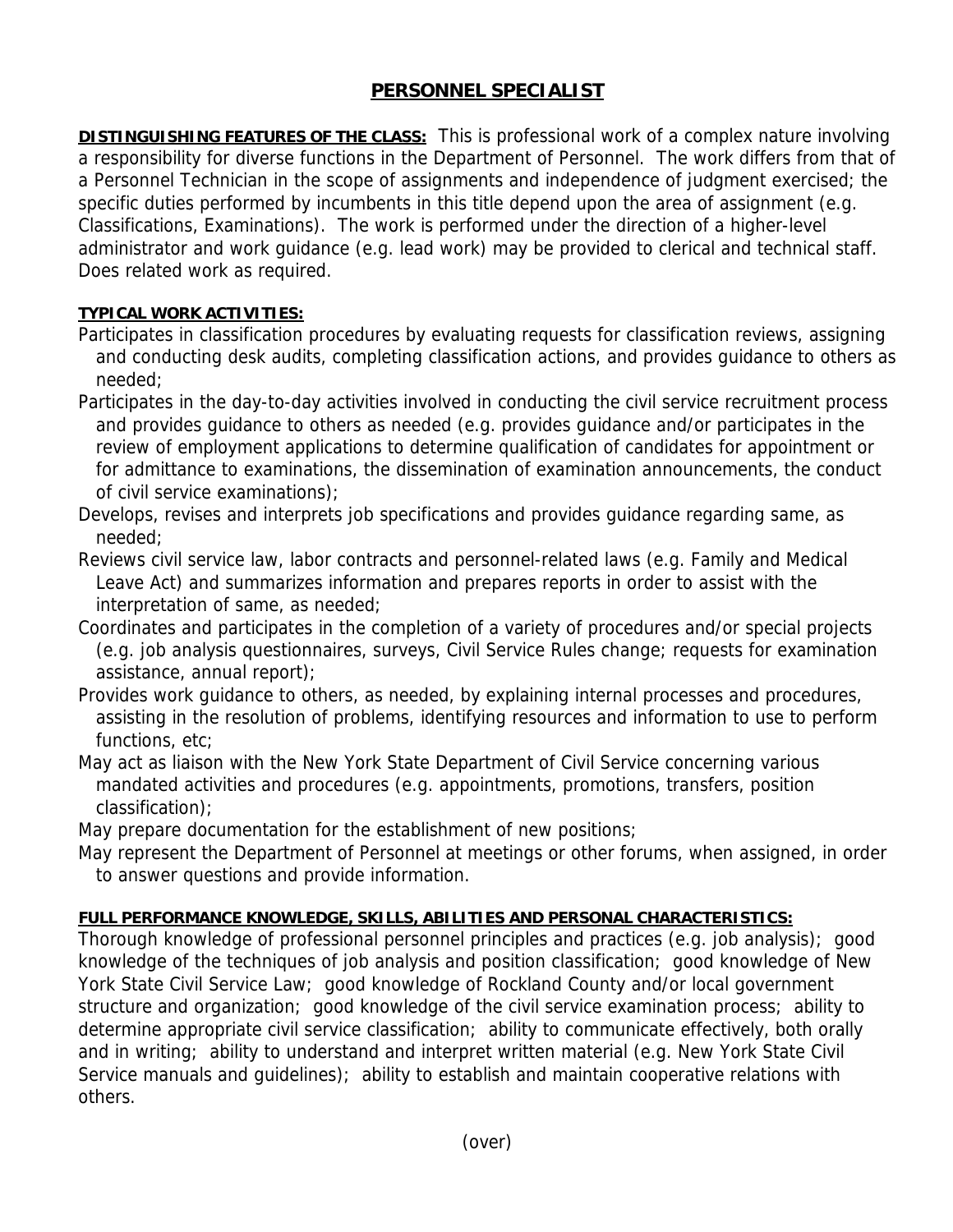## **PERSONNEL SPECIALIST**

**DISTINGUISHING FEATURES OF THE CLASS:** This is professional work of a complex nature involving a responsibility for diverse functions in the Department of Personnel. The work differs from that of a Personnel Technician in the scope of assignments and independence of judgment exercised; the specific duties performed by incumbents in this title depend upon the area of assignment (e.g. Classifications, Examinations). The work is performed under the direction of a higher-level administrator and work guidance (e.g. lead work) may be provided to clerical and technical staff. Does related work as required.

## **TYPICAL WORK ACTIVITIES:**

- Participates in classification procedures by evaluating requests for classification reviews, assigning and conducting desk audits, completing classification actions, and provides guidance to others as needed;
- Participates in the day-to-day activities involved in conducting the civil service recruitment process and provides guidance to others as needed (e.g. provides guidance and/or participates in the review of employment applications to determine qualification of candidates for appointment or for admittance to examinations, the dissemination of examination announcements, the conduct of civil service examinations);
- Develops, revises and interprets job specifications and provides guidance regarding same, as needed;
- Reviews civil service law, labor contracts and personnel-related laws (e.g. Family and Medical Leave Act) and summarizes information and prepares reports in order to assist with the interpretation of same, as needed;
- Coordinates and participates in the completion of a variety of procedures and/or special projects (e.g. job analysis questionnaires, surveys, Civil Service Rules change; requests for examination assistance, annual report);
- Provides work guidance to others, as needed, by explaining internal processes and procedures, assisting in the resolution of problems, identifying resources and information to use to perform functions, etc;
- May act as liaison with the New York State Department of Civil Service concerning various mandated activities and procedures (e.g. appointments, promotions, transfers, position classification);
- May prepare documentation for the establishment of new positions;
- May represent the Department of Personnel at meetings or other forums, when assigned, in order to answer questions and provide information.

## **FULL PERFORMANCE KNOWLEDGE, SKILLS, ABILITIES AND PERSONAL CHARACTERISTICS:**

Thorough knowledge of professional personnel principles and practices (e.g. job analysis); good knowledge of the techniques of job analysis and position classification; good knowledge of New York State Civil Service Law; good knowledge of Rockland County and/or local government structure and organization; good knowledge of the civil service examination process; ability to determine appropriate civil service classification; ability to communicate effectively, both orally and in writing; ability to understand and interpret written material (e.g. New York State Civil Service manuals and quidelines); ability to establish and maintain cooperative relations with others.